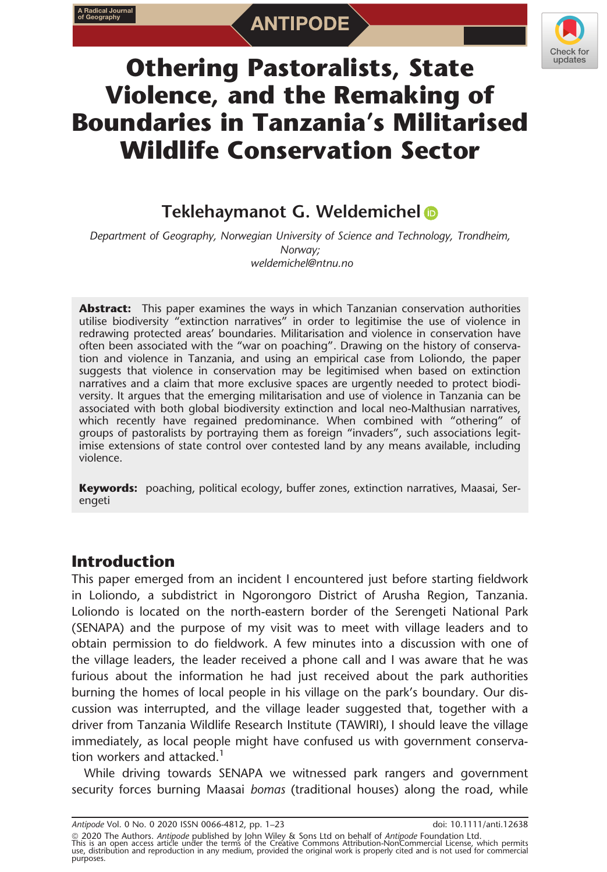# **ANTIPODE**



# Othering Pastoralists, State Violence, and the Remaking of Boundaries in Tanzania's Militarised Wildlife Conservation Sector

## Teklehaymanot G. Weldemiche[l](https://orcid.org/0000-0002-8664-053X)

Department of Geography, Norwegian University of Science and Technology, Trondheim, Norway; weldemichel@ntnu.no

**Abstract:** This paper examines the ways in which Tanzanian conservation authorities utilise biodiversity "extinction narratives" in order to legitimise the use of violence in redrawing protected areas' boundaries. Militarisation and violence in conservation have often been associated with the "war on poaching". Drawing on the history of conservation and violence in Tanzania, and using an empirical case from Loliondo, the paper suggests that violence in conservation may be legitimised when based on extinction narratives and a claim that more exclusive spaces are urgently needed to protect biodiversity. It argues that the emerging militarisation and use of violence in Tanzania can be associated with both global biodiversity extinction and local neo-Malthusian narratives, which recently have regained predominance. When combined with "othering" of groups of pastoralists by portraying them as foreign "invaders", such associations legitimise extensions of state control over contested land by any means available, including violence.

Keywords: poaching, political ecology, buffer zones, extinction narratives, Maasai, Serengeti

## Introduction

This paper emerged from an incident I encountered just before starting fieldwork in Loliondo, a subdistrict in Ngorongoro District of Arusha Region, Tanzania. Loliondo is located on the north-eastern border of the Serengeti National Park (SENAPA) and the purpose of my visit was to meet with village leaders and to obtain permission to do fieldwork. A few minutes into a discussion with one of the village leaders, the leader received a phone call and I was aware that he was furious about the information he had just received about the park authorities burning the homes of local people in his village on the park's boundary. Our discussion was interrupted, and the village leader suggested that, together with a driver from Tanzania Wildlife Research Institute (TAWIRI), I should leave the village immediately, as local people might have confused us with government conservation workers and attacked. $1$ 

While driving towards SENAPA we witnessed park rangers and government security forces burning Maasai bomas (traditional houses) along the road, while

Antipode Vol. 0 No. 0 2020 ISSN 0066-4812, pp. 1-23 doi: 10.1111/anti.12638

<sup>© 2020</sup> The Authors. *Antipode* published by John Wiley & Sons Ltd on behalf of *Antipode* Foundation Ltd.<br>This is an open access article under the terms of the [Creative Commons Attribution-NonCommercial](http://creativecommons.org/licenses/by-nc/4.0/) License, which perm purposes.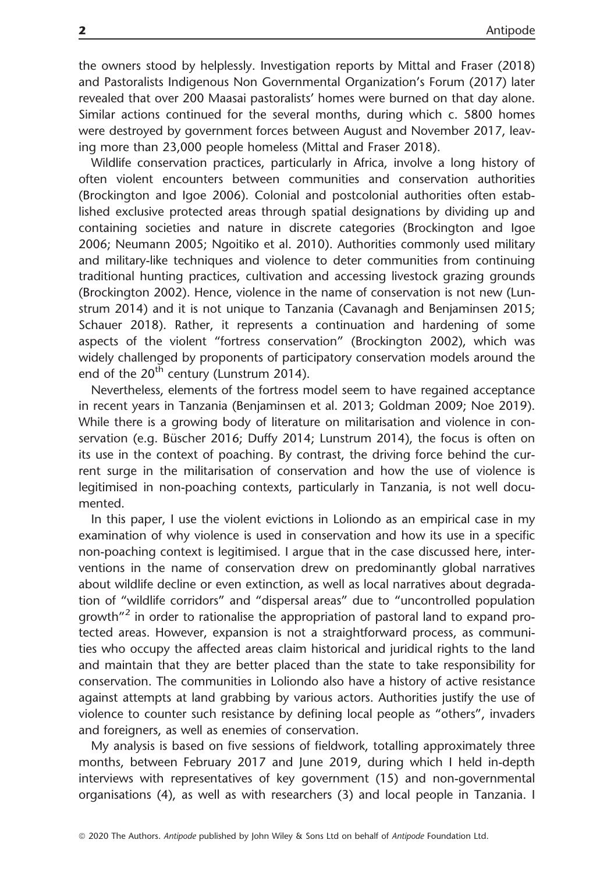the owners stood by helplessly. Investigation reports by Mittal and Fraser (2018) and Pastoralists Indigenous Non Governmental Organization's Forum (2017) later revealed that over 200 Maasai pastoralists' homes were burned on that day alone. Similar actions continued for the several months, during which c. 5800 homes were destroyed by government forces between August and November 2017, leaving more than 23,000 people homeless (Mittal and Fraser 2018).

Wildlife conservation practices, particularly in Africa, involve a long history of often violent encounters between communities and conservation authorities (Brockington and Igoe 2006). Colonial and postcolonial authorities often established exclusive protected areas through spatial designations by dividing up and containing societies and nature in discrete categories (Brockington and Igoe 2006; Neumann 2005; Ngoitiko et al. 2010). Authorities commonly used military and military-like techniques and violence to deter communities from continuing traditional hunting practices, cultivation and accessing livestock grazing grounds (Brockington 2002). Hence, violence in the name of conservation is not new (Lunstrum 2014) and it is not unique to Tanzania (Cavanagh and Benjaminsen 2015; Schauer 2018). Rather, it represents a continuation and hardening of some aspects of the violent "fortress conservation" (Brockington 2002), which was widely challenged by proponents of participatory conservation models around the end of the  $20^{th}$  century (Lunstrum 2014).

Nevertheless, elements of the fortress model seem to have regained acceptance in recent years in Tanzania (Benjaminsen et al. 2013; Goldman 2009; Noe 2019). While there is a growing body of literature on militarisation and violence in conservation (e.g. Büscher 2016; Duffy 2014; Lunstrum 2014), the focus is often on its use in the context of poaching. By contrast, the driving force behind the current surge in the militarisation of conservation and how the use of violence is legitimised in non-poaching contexts, particularly in Tanzania, is not well documented.

In this paper, I use the violent evictions in Loliondo as an empirical case in my examination of why violence is used in conservation and how its use in a specific non-poaching context is legitimised. I argue that in the case discussed here, interventions in the name of conservation drew on predominantly global narratives about wildlife decline or even extinction, as well as local narratives about degradation of "wildlife corridors" and "dispersal areas" due to "uncontrolled population growth<sup>"2</sup> in order to rationalise the appropriation of pastoral land to expand protected areas. However, expansion is not a straightforward process, as communities who occupy the affected areas claim historical and juridical rights to the land and maintain that they are better placed than the state to take responsibility for conservation. The communities in Loliondo also have a history of active resistance against attempts at land grabbing by various actors. Authorities justify the use of violence to counter such resistance by defining local people as "others", invaders and foreigners, as well as enemies of conservation.

My analysis is based on five sessions of fieldwork, totalling approximately three months, between February 2017 and June 2019, during which I held in-depth interviews with representatives of key government (15) and non-governmental organisations (4), as well as with researchers (3) and local people in Tanzania. I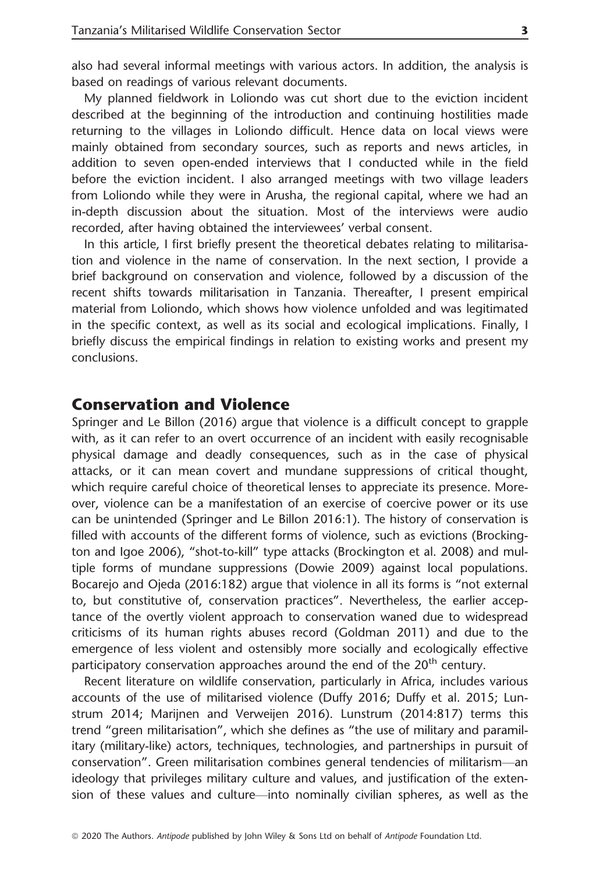also had several informal meetings with various actors. In addition, the analysis is based on readings of various relevant documents.

My planned fieldwork in Loliondo was cut short due to the eviction incident described at the beginning of the introduction and continuing hostilities made returning to the villages in Loliondo difficult. Hence data on local views were mainly obtained from secondary sources, such as reports and news articles, in addition to seven open-ended interviews that I conducted while in the field before the eviction incident. I also arranged meetings with two village leaders from Loliondo while they were in Arusha, the regional capital, where we had an in-depth discussion about the situation. Most of the interviews were audio recorded, after having obtained the interviewees' verbal consent.

In this article, I first briefly present the theoretical debates relating to militarisation and violence in the name of conservation. In the next section, I provide a brief background on conservation and violence, followed by a discussion of the recent shifts towards militarisation in Tanzania. Thereafter, I present empirical material from Loliondo, which shows how violence unfolded and was legitimated in the specific context, as well as its social and ecological implications. Finally, I briefly discuss the empirical findings in relation to existing works and present my conclusions.

#### Conservation and Violence

Springer and Le Billon (2016) argue that violence is a difficult concept to grapple with, as it can refer to an overt occurrence of an incident with easily recognisable physical damage and deadly consequences, such as in the case of physical attacks, or it can mean covert and mundane suppressions of critical thought, which require careful choice of theoretical lenses to appreciate its presence. Moreover, violence can be a manifestation of an exercise of coercive power or its use can be unintended (Springer and Le Billon 2016:1). The history of conservation is filled with accounts of the different forms of violence, such as evictions (Brockington and Igoe 2006), "shot-to-kill" type attacks (Brockington et al. 2008) and multiple forms of mundane suppressions (Dowie 2009) against local populations. Bocarejo and Ojeda (2016:182) argue that violence in all its forms is "not external to, but constitutive of, conservation practices". Nevertheless, the earlier acceptance of the overtly violent approach to conservation waned due to widespread criticisms of its human rights abuses record (Goldman 2011) and due to the emergence of less violent and ostensibly more socially and ecologically effective participatory conservation approaches around the end of the  $20<sup>th</sup>$  century.

Recent literature on wildlife conservation, particularly in Africa, includes various accounts of the use of militarised violence (Duffy 2016; Duffy et al. 2015; Lunstrum 2014; Marijnen and Verweijen 2016). Lunstrum (2014:817) terms this trend "green militarisation", which she defines as "the use of military and paramilitary (military-like) actors, techniques, technologies, and partnerships in pursuit of conservation". Green militarisation combines general tendencies of militarism—an ideology that privileges military culture and values, and justification of the extension of these values and culture—into nominally civilian spheres, as well as the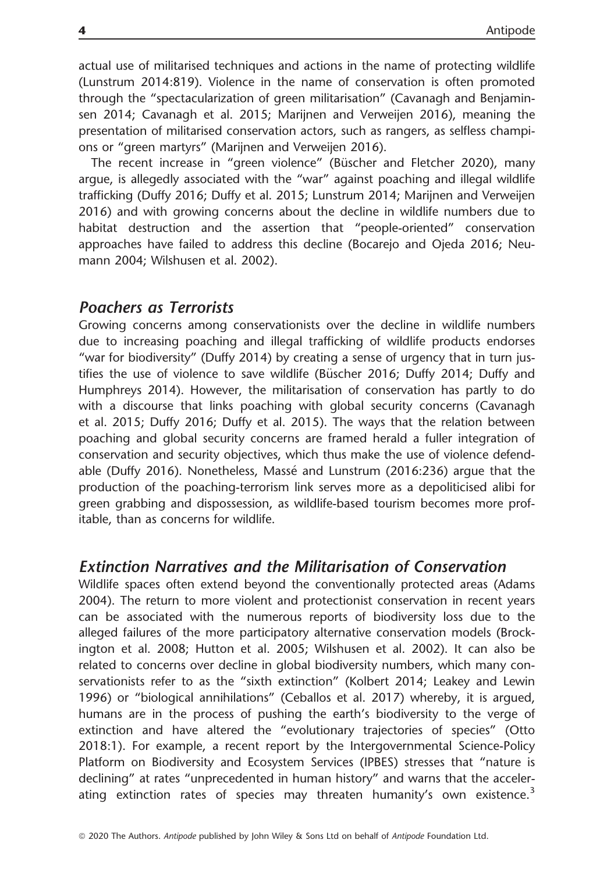actual use of militarised techniques and actions in the name of protecting wildlife (Lunstrum 2014:819). Violence in the name of conservation is often promoted through the "spectacularization of green militarisation" (Cavanagh and Benjaminsen 2014; Cavanagh et al. 2015; Marijnen and Verweijen 2016), meaning the presentation of militarised conservation actors, such as rangers, as selfless champions or "green martyrs" (Marijnen and Verweijen 2016).

The recent increase in "green violence" (Büscher and Fletcher 2020), many argue, is allegedly associated with the "war" against poaching and illegal wildlife trafficking (Duffy 2016; Duffy et al. 2015; Lunstrum 2014; Marijnen and Verweijen 2016) and with growing concerns about the decline in wildlife numbers due to habitat destruction and the assertion that "people-oriented" conservation approaches have failed to address this decline (Bocarejo and Ojeda 2016; Neumann 2004; Wilshusen et al. 2002).

#### Poachers as Terrorists

Growing concerns among conservationists over the decline in wildlife numbers due to increasing poaching and illegal trafficking of wildlife products endorses "war for biodiversity" (Duffy 2014) by creating a sense of urgency that in turn justifies the use of violence to save wildlife (Büscher 2016; Duffy 2014; Duffy and Humphreys 2014). However, the militarisation of conservation has partly to do with a discourse that links poaching with global security concerns (Cavanagh et al. 2015; Duffy 2016; Duffy et al. 2015). The ways that the relation between poaching and global security concerns are framed herald a fuller integration of conservation and security objectives, which thus make the use of violence defendable (Duffy 2016). Nonetheless, Massé and Lunstrum (2016:236) argue that the production of the poaching-terrorism link serves more as a depoliticised alibi for green grabbing and dispossession, as wildlife-based tourism becomes more profitable, than as concerns for wildlife.

## Extinction Narratives and the Militarisation of Conservation

Wildlife spaces often extend beyond the conventionally protected areas (Adams 2004). The return to more violent and protectionist conservation in recent years can be associated with the numerous reports of biodiversity loss due to the alleged failures of the more participatory alternative conservation models (Brockington et al. 2008; Hutton et al. 2005; Wilshusen et al. 2002). It can also be related to concerns over decline in global biodiversity numbers, which many conservationists refer to as the "sixth extinction" (Kolbert 2014; Leakey and Lewin 1996) or "biological annihilations" (Ceballos et al. 2017) whereby, it is argued, humans are in the process of pushing the earth's biodiversity to the verge of extinction and have altered the "evolutionary trajectories of species" (Otto 2018:1). For example, a recent report by the Intergovernmental Science-Policy Platform on Biodiversity and Ecosystem Services (IPBES) stresses that "nature is declining" at rates "unprecedented in human history" and warns that the accelerating extinction rates of species may threaten humanity's own existence.<sup>3</sup>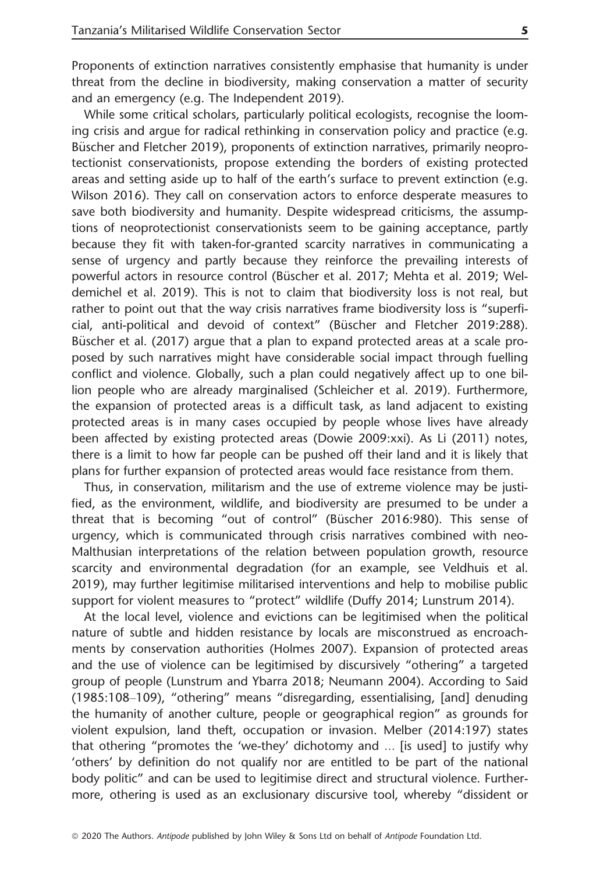Proponents of extinction narratives consistently emphasise that humanity is under threat from the decline in biodiversity, making conservation a matter of security and an emergency (e.g. The Independent 2019).

While some critical scholars, particularly political ecologists, recognise the looming crisis and argue for radical rethinking in conservation policy and practice (e.g. Büscher and Fletcher 2019), proponents of extinction narratives, primarily neoprotectionist conservationists, propose extending the borders of existing protected areas and setting aside up to half of the earth's surface to prevent extinction (e.g. Wilson 2016). They call on conservation actors to enforce desperate measures to save both biodiversity and humanity. Despite widespread criticisms, the assumptions of neoprotectionist conservationists seem to be gaining acceptance, partly because they fit with taken-for-granted scarcity narratives in communicating a sense of urgency and partly because they reinforce the prevailing interests of powerful actors in resource control (Büscher et al. 2017; Mehta et al. 2019; Weldemichel et al. 2019). This is not to claim that biodiversity loss is not real, but rather to point out that the way crisis narratives frame biodiversity loss is "superficial, anti-political and devoid of context" (Büscher and Fletcher 2019:288). Büscher et al. (2017) argue that a plan to expand protected areas at a scale proposed by such narratives might have considerable social impact through fuelling conflict and violence. Globally, such a plan could negatively affect up to one billion people who are already marginalised (Schleicher et al. 2019). Furthermore, the expansion of protected areas is a difficult task, as land adjacent to existing protected areas is in many cases occupied by people whose lives have already been affected by existing protected areas (Dowie 2009:xxi). As Li (2011) notes, there is a limit to how far people can be pushed off their land and it is likely that plans for further expansion of protected areas would face resistance from them.

Thus, in conservation, militarism and the use of extreme violence may be justified, as the environment, wildlife, and biodiversity are presumed to be under a threat that is becoming "out of control" (Büscher 2016:980). This sense of urgency, which is communicated through crisis narratives combined with neo-Malthusian interpretations of the relation between population growth, resource scarcity and environmental degradation (for an example, see Veldhuis et al. 2019), may further legitimise militarised interventions and help to mobilise public support for violent measures to "protect" wildlife (Duffy 2014; Lunstrum 2014).

At the local level, violence and evictions can be legitimised when the political nature of subtle and hidden resistance by locals are misconstrued as encroachments by conservation authorities (Holmes 2007). Expansion of protected areas and the use of violence can be legitimised by discursively "othering" a targeted group of people (Lunstrum and Ybarra 2018; Neumann 2004). According to Said (1985:108–109), "othering" means "disregarding, essentialising, [and] denuding the humanity of another culture, people or geographical region" as grounds for violent expulsion, land theft, occupation or invasion. Melber (2014:197) states that othering "promotes the 'we-they' dichotomy and ... [is used] to justify why 'others' by definition do not qualify nor are entitled to be part of the national body politic" and can be used to legitimise direct and structural violence. Furthermore, othering is used as an exclusionary discursive tool, whereby "dissident or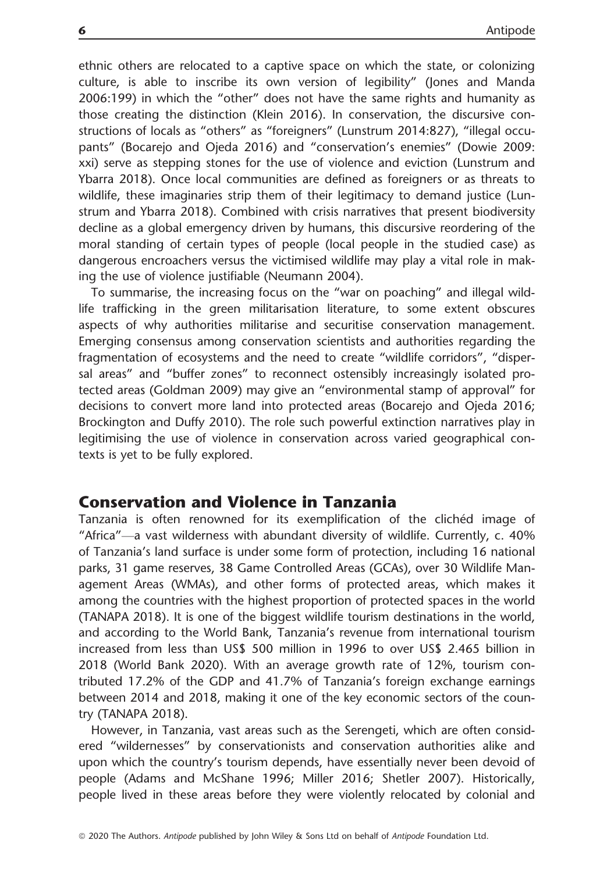ethnic others are relocated to a captive space on which the state, or colonizing culture, is able to inscribe its own version of legibility" (Jones and Manda 2006:199) in which the "other" does not have the same rights and humanity as those creating the distinction (Klein 2016). In conservation, the discursive constructions of locals as "others" as "foreigners" (Lunstrum 2014:827), "illegal occupants" (Bocarejo and Ojeda 2016) and "conservation's enemies" (Dowie 2009: xxi) serve as stepping stones for the use of violence and eviction (Lunstrum and Ybarra 2018). Once local communities are defined as foreigners or as threats to wildlife, these imaginaries strip them of their legitimacy to demand justice (Lunstrum and Ybarra 2018). Combined with crisis narratives that present biodiversity decline as a global emergency driven by humans, this discursive reordering of the moral standing of certain types of people (local people in the studied case) as dangerous encroachers versus the victimised wildlife may play a vital role in making the use of violence justifiable (Neumann 2004).

To summarise, the increasing focus on the "war on poaching" and illegal wildlife trafficking in the green militarisation literature, to some extent obscures aspects of why authorities militarise and securitise conservation management. Emerging consensus among conservation scientists and authorities regarding the fragmentation of ecosystems and the need to create "wildlife corridors", "dispersal areas" and "buffer zones" to reconnect ostensibly increasingly isolated protected areas (Goldman 2009) may give an "environmental stamp of approval" for decisions to convert more land into protected areas (Bocarejo and Ojeda 2016; Brockington and Duffy 2010). The role such powerful extinction narratives play in legitimising the use of violence in conservation across varied geographical contexts is yet to be fully explored.

#### Conservation and Violence in Tanzania

Tanzania is often renowned for its exemplification of the clichéd image of "Africa"—a vast wilderness with abundant diversity of wildlife. Currently, c. 40% of Tanzania's land surface is under some form of protection, including 16 national parks, 31 game reserves, 38 Game Controlled Areas (GCAs), over 30 Wildlife Management Areas (WMAs), and other forms of protected areas, which makes it among the countries with the highest proportion of protected spaces in the world (TANAPA 2018). It is one of the biggest wildlife tourism destinations in the world, and according to the World Bank, Tanzania's revenue from international tourism increased from less than US\$ 500 million in 1996 to over US\$ 2.465 billion in 2018 (World Bank 2020). With an average growth rate of 12%, tourism contributed 17.2% of the GDP and 41.7% of Tanzania's foreign exchange earnings between 2014 and 2018, making it one of the key economic sectors of the country (TANAPA 2018).

However, in Tanzania, vast areas such as the Serengeti, which are often considered "wildernesses" by conservationists and conservation authorities alike and upon which the country's tourism depends, have essentially never been devoid of people (Adams and McShane 1996; Miller 2016; Shetler 2007). Historically, people lived in these areas before they were violently relocated by colonial and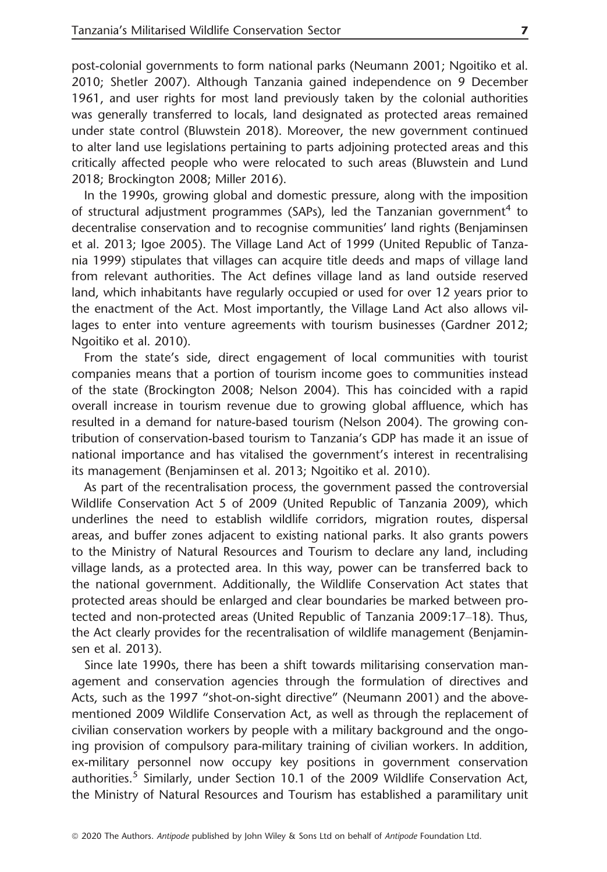post-colonial governments to form national parks (Neumann 2001; Ngoitiko et al. 2010; Shetler 2007). Although Tanzania gained independence on 9 December 1961, and user rights for most land previously taken by the colonial authorities was generally transferred to locals, land designated as protected areas remained under state control (Bluwstein 2018). Moreover, the new government continued to alter land use legislations pertaining to parts adjoining protected areas and this critically affected people who were relocated to such areas (Bluwstein and Lund 2018; Brockington 2008; Miller 2016).

In the 1990s, growing global and domestic pressure, along with the imposition of structural adjustment programmes (SAPs), led the Tanzanian government<sup>4</sup> to decentralise conservation and to recognise communities' land rights (Benjaminsen et al. 2013; Igoe 2005). The Village Land Act of 1999 (United Republic of Tanzania 1999) stipulates that villages can acquire title deeds and maps of village land from relevant authorities. The Act defines village land as land outside reserved land, which inhabitants have regularly occupied or used for over 12 years prior to the enactment of the Act. Most importantly, the Village Land Act also allows villages to enter into venture agreements with tourism businesses (Gardner 2012; Ngoitiko et al. 2010).

From the state's side, direct engagement of local communities with tourist companies means that a portion of tourism income goes to communities instead of the state (Brockington 2008; Nelson 2004). This has coincided with a rapid overall increase in tourism revenue due to growing global affluence, which has resulted in a demand for nature-based tourism (Nelson 2004). The growing contribution of conservation-based tourism to Tanzania's GDP has made it an issue of national importance and has vitalised the government's interest in recentralising its management (Benjaminsen et al. 2013; Ngoitiko et al. 2010).

As part of the recentralisation process, the government passed the controversial Wildlife Conservation Act 5 of 2009 (United Republic of Tanzania 2009), which underlines the need to establish wildlife corridors, migration routes, dispersal areas, and buffer zones adjacent to existing national parks. It also grants powers to the Ministry of Natural Resources and Tourism to declare any land, including village lands, as a protected area. In this way, power can be transferred back to the national government. Additionally, the Wildlife Conservation Act states that protected areas should be enlarged and clear boundaries be marked between protected and non-protected areas (United Republic of Tanzania 2009:17–18). Thus, the Act clearly provides for the recentralisation of wildlife management (Benjaminsen et al. 2013).

Since late 1990s, there has been a shift towards militarising conservation management and conservation agencies through the formulation of directives and Acts, such as the 1997 "shot-on-sight directive" (Neumann 2001) and the abovementioned 2009 Wildlife Conservation Act, as well as through the replacement of civilian conservation workers by people with a military background and the ongoing provision of compulsory para-military training of civilian workers. In addition, ex-military personnel now occupy key positions in government conservation authorities.<sup>5</sup> Similarly, under Section 10.1 of the 2009 Wildlife Conservation Act, the Ministry of Natural Resources and Tourism has established a paramilitary unit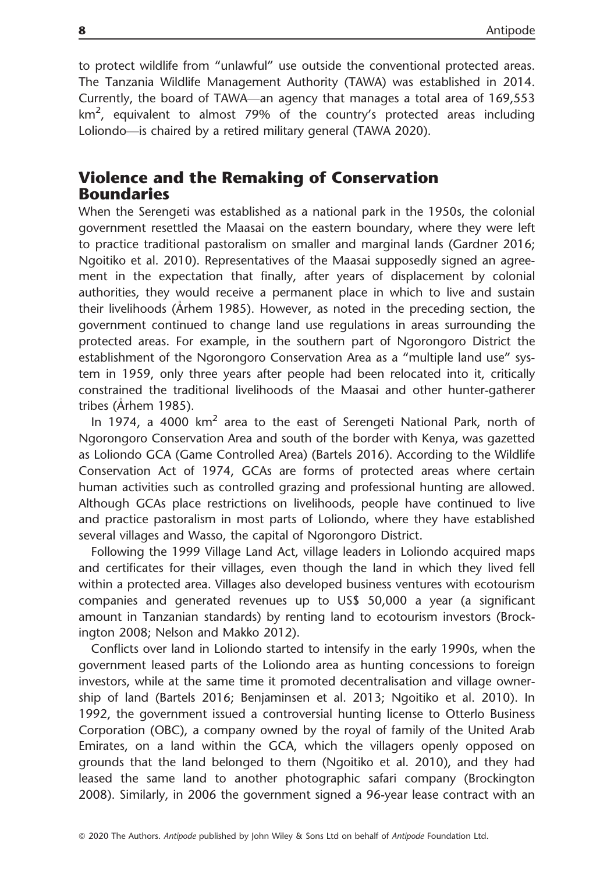to protect wildlife from "unlawful" use outside the conventional protected areas. The Tanzania Wildlife Management Authority (TAWA) was established in 2014. Currently, the board of TAWA—an agency that manages a total area of 169,553 km<sup>2</sup>, equivalent to almost 79% of the country's protected areas including Loliondo—is chaired by a retired military general (TAWA 2020).

### Violence and the Remaking of Conservation **Boundaries**

When the Serengeti was established as a national park in the 1950s, the colonial government resettled the Maasai on the eastern boundary, where they were left to practice traditional pastoralism on smaller and marginal lands (Gardner 2016; Ngoitiko et al. 2010). Representatives of the Maasai supposedly signed an agreement in the expectation that finally, after years of displacement by colonial authorities, they would receive a permanent place in which to live and sustain their livelihoods (Arhem 1985). However, as noted in the preceding section, the government continued to change land use regulations in areas surrounding the protected areas. For example, in the southern part of Ngorongoro District the establishment of the Ngorongoro Conservation Area as a "multiple land use" system in 1959, only three years after people had been relocated into it, critically constrained the traditional livelihoods of the Maasai and other hunter-gatherer tribes (Arhem 1985).

In 1974, a 4000  $km^2$  area to the east of Serengeti National Park, north of Ngorongoro Conservation Area and south of the border with Kenya, was gazetted as Loliondo GCA (Game Controlled Area) (Bartels 2016). According to the Wildlife Conservation Act of 1974, GCAs are forms of protected areas where certain human activities such as controlled grazing and professional hunting are allowed. Although GCAs place restrictions on livelihoods, people have continued to live and practice pastoralism in most parts of Loliondo, where they have established several villages and Wasso, the capital of Ngorongoro District.

Following the 1999 Village Land Act, village leaders in Loliondo acquired maps and certificates for their villages, even though the land in which they lived fell within a protected area. Villages also developed business ventures with ecotourism companies and generated revenues up to US\$ 50,000 a year (a significant amount in Tanzanian standards) by renting land to ecotourism investors (Brockington 2008; Nelson and Makko 2012).

Conflicts over land in Loliondo started to intensify in the early 1990s, when the government leased parts of the Loliondo area as hunting concessions to foreign investors, while at the same time it promoted decentralisation and village ownership of land (Bartels 2016; Benjaminsen et al. 2013; Ngoitiko et al. 2010). In 1992, the government issued a controversial hunting license to Otterlo Business Corporation (OBC), a company owned by the royal of family of the United Arab Emirates, on a land within the GCA, which the villagers openly opposed on grounds that the land belonged to them (Ngoitiko et al. 2010), and they had leased the same land to another photographic safari company (Brockington 2008). Similarly, in 2006 the government signed a 96-year lease contract with an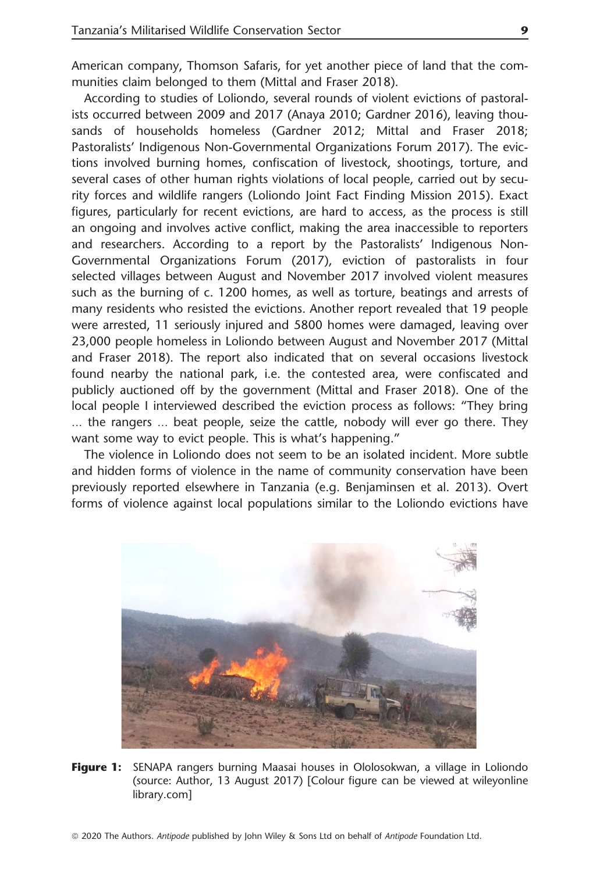American company, Thomson Safaris, for yet another piece of land that the communities claim belonged to them (Mittal and Fraser 2018).

According to studies of Loliondo, several rounds of violent evictions of pastoralists occurred between 2009 and 2017 (Anaya 2010; Gardner 2016), leaving thousands of households homeless (Gardner 2012; Mittal and Fraser 2018; Pastoralists' Indigenous Non-Governmental Organizations Forum 2017). The evictions involved burning homes, confiscation of livestock, shootings, torture, and several cases of other human rights violations of local people, carried out by security forces and wildlife rangers (Loliondo Joint Fact Finding Mission 2015). Exact figures, particularly for recent evictions, are hard to access, as the process is still an ongoing and involves active conflict, making the area inaccessible to reporters and researchers. According to a report by the Pastoralists' Indigenous Non-Governmental Organizations Forum (2017), eviction of pastoralists in four selected villages between August and November 2017 involved violent measures such as the burning of c. 1200 homes, as well as torture, beatings and arrests of many residents who resisted the evictions. Another report revealed that 19 people were arrested, 11 seriously injured and 5800 homes were damaged, leaving over 23,000 people homeless in Loliondo between August and November 2017 (Mittal and Fraser 2018). The report also indicated that on several occasions livestock found nearby the national park, i.e. the contested area, were confiscated and publicly auctioned off by the government (Mittal and Fraser 2018). One of the local people I interviewed described the eviction process as follows: "They bring ... the rangers ... beat people, seize the cattle, nobody will ever go there. They want some way to evict people. This is what's happening."

The violence in Loliondo does not seem to be an isolated incident. More subtle and hidden forms of violence in the name of community conservation have been previously reported elsewhere in Tanzania (e.g. Benjaminsen et al. 2013). Overt forms of violence against local populations similar to the Loliondo evictions have



Figure 1: SENAPA rangers burning Maasai houses in Ololosokwan, a village in Loliondo (source: Author, 13 August 2017) [Colour figure can be viewed at [wileyonline](www.wileyonlinelibrary.com) [library.com](www.wileyonlinelibrary.com)]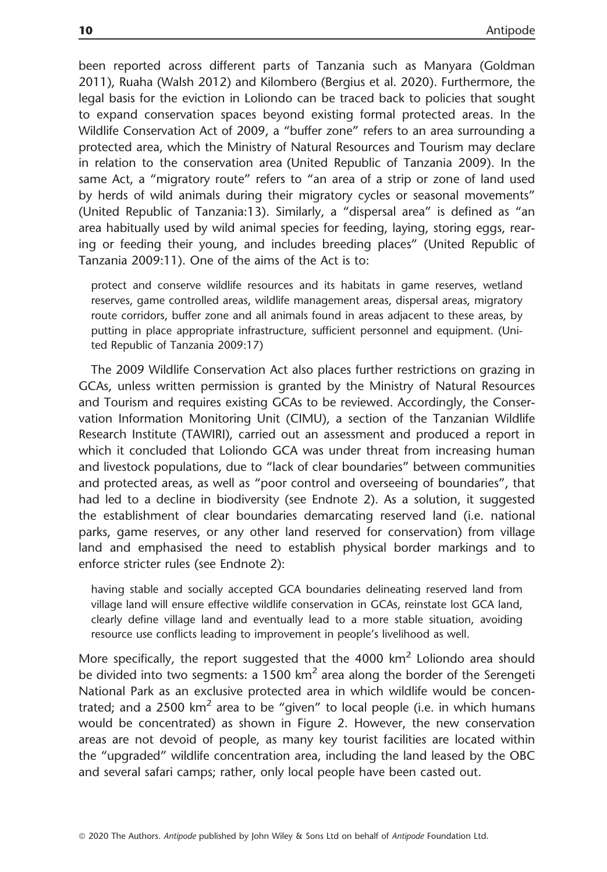been reported across different parts of Tanzania such as Manyara (Goldman 2011), Ruaha (Walsh 2012) and Kilombero (Bergius et al. 2020). Furthermore, the legal basis for the eviction in Loliondo can be traced back to policies that sought to expand conservation spaces beyond existing formal protected areas. In the Wildlife Conservation Act of 2009, a "buffer zone" refers to an area surrounding a protected area, which the Ministry of Natural Resources and Tourism may declare in relation to the conservation area (United Republic of Tanzania 2009). In the same Act, a "migratory route" refers to "an area of a strip or zone of land used by herds of wild animals during their migratory cycles or seasonal movements" (United Republic of Tanzania:13). Similarly, a "dispersal area" is defined as "an area habitually used by wild animal species for feeding, laying, storing eggs, rearing or feeding their young, and includes breeding places" (United Republic of Tanzania 2009:11). One of the aims of the Act is to:

protect and conserve wildlife resources and its habitats in game reserves, wetland reserves, game controlled areas, wildlife management areas, dispersal areas, migratory route corridors, buffer zone and all animals found in areas adjacent to these areas, by putting in place appropriate infrastructure, sufficient personnel and equipment. (United Republic of Tanzania 2009:17)

The 2009 Wildlife Conservation Act also places further restrictions on grazing in GCAs, unless written permission is granted by the Ministry of Natural Resources and Tourism and requires existing GCAs to be reviewed. Accordingly, the Conservation Information Monitoring Unit (CIMU), a section of the Tanzanian Wildlife Research Institute (TAWIRI), carried out an assessment and produced a report in which it concluded that Loliondo GCA was under threat from increasing human and livestock populations, due to "lack of clear boundaries" between communities and protected areas, as well as "poor control and overseeing of boundaries", that had led to a decline in biodiversity (see Endnote 2). As a solution, it suggested the establishment of clear boundaries demarcating reserved land (i.e. national parks, game reserves, or any other land reserved for conservation) from village land and emphasised the need to establish physical border markings and to enforce stricter rules (see Endnote 2):

having stable and socially accepted GCA boundaries delineating reserved land from village land will ensure effective wildlife conservation in GCAs, reinstate lost GCA land, clearly define village land and eventually lead to a more stable situation, avoiding resource use conflicts leading to improvement in people's livelihood as well.

More specifically, the report suggested that the 4000 km<sup>2</sup> Loliondo area should be divided into two segments: a 1500 km<sup>2</sup> area along the border of the Serengeti National Park as an exclusive protected area in which wildlife would be concentrated; and a 2500 km<sup>2</sup> area to be "given" to local people (i.e. in which humans would be concentrated) as shown in Figure 2. However, the new conservation areas are not devoid of people, as many key tourist facilities are located within the "upgraded" wildlife concentration area, including the land leased by the OBC and several safari camps; rather, only local people have been casted out.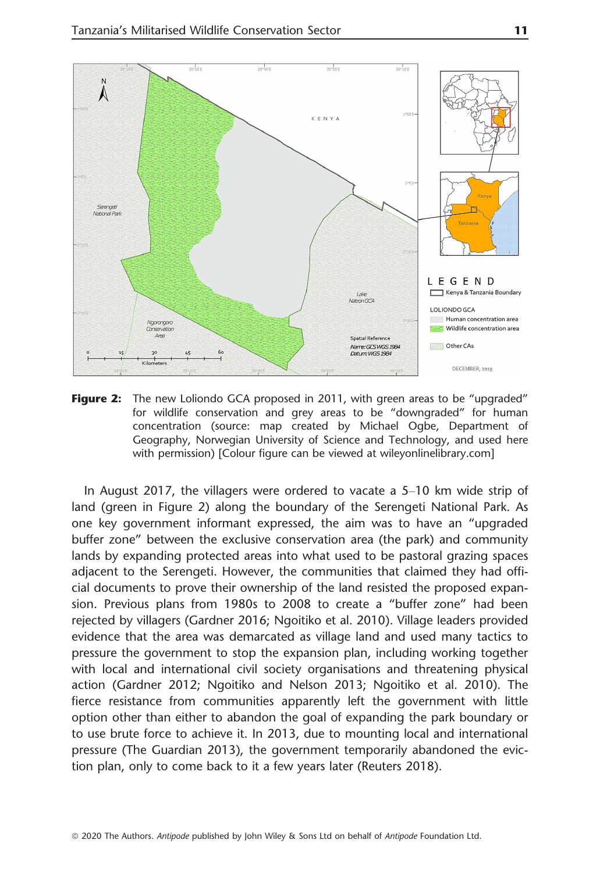

**Figure 2:** The new Loliondo GCA proposed in 2011, with green areas to be "upgraded" for wildlife conservation and grey areas to be "downgraded" for human concentration (source: map created by Michael Ogbe, Department of Geography, Norwegian University of Science and Technology, and used here with permission) [Colour figure can be viewed at [wileyonlinelibrary.com](www.wileyonlinelibrary.com)]

In August 2017, the villagers were ordered to vacate a 5–10 km wide strip of land (green in Figure 2) along the boundary of the Serengeti National Park. As one key government informant expressed, the aim was to have an "upgraded buffer zone" between the exclusive conservation area (the park) and community lands by expanding protected areas into what used to be pastoral grazing spaces adjacent to the Serengeti. However, the communities that claimed they had official documents to prove their ownership of the land resisted the proposed expansion. Previous plans from 1980s to 2008 to create a "buffer zone" had been rejected by villagers (Gardner 2016; Ngoitiko et al. 2010). Village leaders provided evidence that the area was demarcated as village land and used many tactics to pressure the government to stop the expansion plan, including working together with local and international civil society organisations and threatening physical action (Gardner 2012; Ngoitiko and Nelson 2013; Ngoitiko et al. 2010). The fierce resistance from communities apparently left the government with little option other than either to abandon the goal of expanding the park boundary or to use brute force to achieve it. In 2013, due to mounting local and international pressure (The Guardian 2013), the government temporarily abandoned the eviction plan, only to come back to it a few years later (Reuters 2018).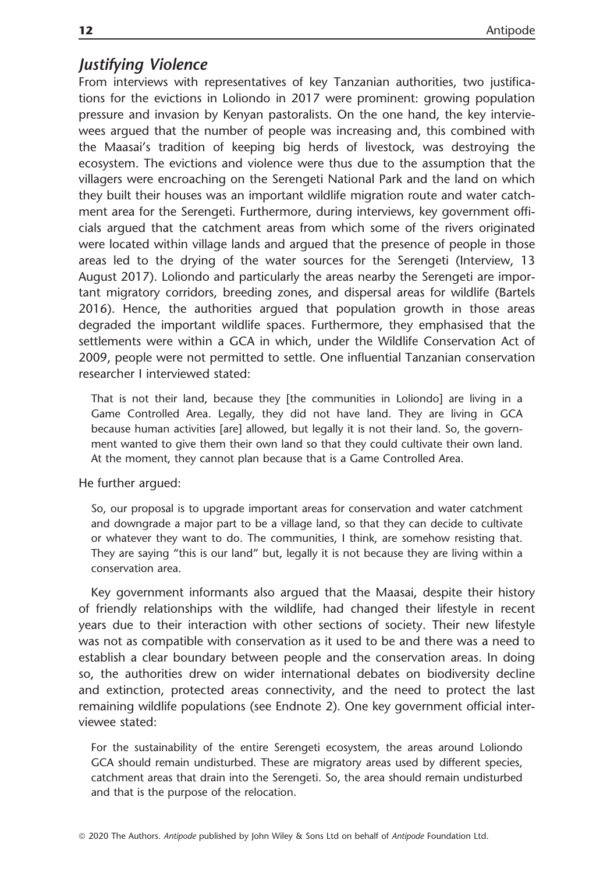#### Justifying Violence

From interviews with representatives of key Tanzanian authorities, two justifications for the evictions in Loliondo in 2017 were prominent: growing population pressure and invasion by Kenyan pastoralists. On the one hand, the key interviewees argued that the number of people was increasing and, this combined with the Maasai's tradition of keeping big herds of livestock, was destroying the ecosystem. The evictions and violence were thus due to the assumption that the villagers were encroaching on the Serengeti National Park and the land on which they built their houses was an important wildlife migration route and water catchment area for the Serengeti. Furthermore, during interviews, key government officials argued that the catchment areas from which some of the rivers originated were located within village lands and argued that the presence of people in those areas led to the drying of the water sources for the Serengeti (Interview, 13 August 2017). Loliondo and particularly the areas nearby the Serengeti are important migratory corridors, breeding zones, and dispersal areas for wildlife (Bartels 2016). Hence, the authorities argued that population growth in those areas degraded the important wildlife spaces. Furthermore, they emphasised that the settlements were within a GCA in which, under the Wildlife Conservation Act of 2009, people were not permitted to settle. One influential Tanzanian conservation researcher I interviewed stated:

That is not their land, because they [the communities in Loliondo] are living in a Game Controlled Area. Legally, they did not have land. They are living in GCA because human activities [are] allowed, but legally it is not their land. So, the government wanted to give them their own land so that they could cultivate their own land. At the moment, they cannot plan because that is a Game Controlled Area.

He further argued:

So, our proposal is to upgrade important areas for conservation and water catchment and downgrade a major part to be a village land, so that they can decide to cultivate or whatever they want to do. The communities, I think, are somehow resisting that. They are saying "this is our land" but, legally it is not because they are living within a conservation area.

Key government informants also argued that the Maasai, despite their history of friendly relationships with the wildlife, had changed their lifestyle in recent years due to their interaction with other sections of society. Their new lifestyle was not as compatible with conservation as it used to be and there was a need to establish a clear boundary between people and the conservation areas. In doing so, the authorities drew on wider international debates on biodiversity decline and extinction, protected areas connectivity, and the need to protect the last remaining wildlife populations (see Endnote 2). One key government official interviewee stated:

For the sustainability of the entire Serengeti ecosystem, the areas around Loliondo GCA should remain undisturbed. These are migratory areas used by different species, catchment areas that drain into the Serengeti. So, the area should remain undisturbed and that is the purpose of the relocation.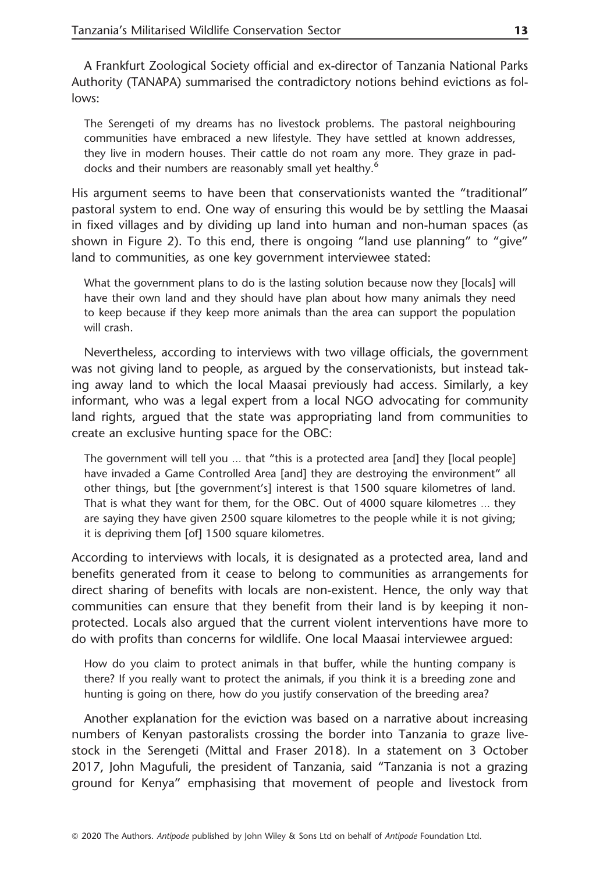A Frankfurt Zoological Society official and ex-director of Tanzania National Parks Authority (TANAPA) summarised the contradictory notions behind evictions as follows:

The Serengeti of my dreams has no livestock problems. The pastoral neighbouring communities have embraced a new lifestyle. They have settled at known addresses, they live in modern houses. Their cattle do not roam any more. They graze in paddocks and their numbers are reasonably small yet healthy.<sup>6</sup>

His argument seems to have been that conservationists wanted the "traditional" pastoral system to end. One way of ensuring this would be by settling the Maasai in fixed villages and by dividing up land into human and non-human spaces (as shown in Figure 2). To this end, there is ongoing "land use planning" to "give" land to communities, as one key government interviewee stated:

What the government plans to do is the lasting solution because now they [locals] will have their own land and they should have plan about how many animals they need to keep because if they keep more animals than the area can support the population will crash.

Nevertheless, according to interviews with two village officials, the government was not giving land to people, as argued by the conservationists, but instead taking away land to which the local Maasai previously had access. Similarly, a key informant, who was a legal expert from a local NGO advocating for community land rights, argued that the state was appropriating land from communities to create an exclusive hunting space for the OBC:

The government will tell you ... that "this is a protected area [and] they [local people] have invaded a Game Controlled Area [and] they are destroying the environment" all other things, but [the government's] interest is that 1500 square kilometres of land. That is what they want for them, for the OBC. Out of 4000 square kilometres ... they are saying they have given 2500 square kilometres to the people while it is not giving; it is depriving them [of] 1500 square kilometres.

According to interviews with locals, it is designated as a protected area, land and benefits generated from it cease to belong to communities as arrangements for direct sharing of benefits with locals are non-existent. Hence, the only way that communities can ensure that they benefit from their land is by keeping it nonprotected. Locals also argued that the current violent interventions have more to do with profits than concerns for wildlife. One local Maasai interviewee argued:

How do you claim to protect animals in that buffer, while the hunting company is there? If you really want to protect the animals, if you think it is a breeding zone and hunting is going on there, how do you justify conservation of the breeding area?

Another explanation for the eviction was based on a narrative about increasing numbers of Kenyan pastoralists crossing the border into Tanzania to graze livestock in the Serengeti (Mittal and Fraser 2018). In a statement on 3 October 2017, John Magufuli, the president of Tanzania, said "Tanzania is not a grazing ground for Kenya" emphasising that movement of people and livestock from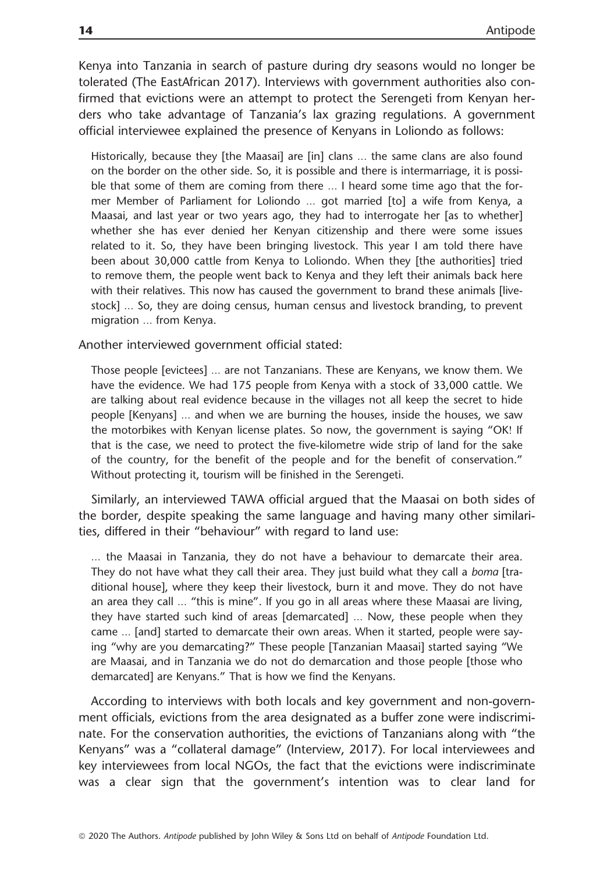Kenya into Tanzania in search of pasture during dry seasons would no longer be tolerated (The EastAfrican 2017). Interviews with government authorities also confirmed that evictions were an attempt to protect the Serengeti from Kenyan herders who take advantage of Tanzania's lax grazing regulations. A government official interviewee explained the presence of Kenyans in Loliondo as follows:

Historically, because they [the Maasai] are [in] clans ... the same clans are also found on the border on the other side. So, it is possible and there is intermarriage, it is possible that some of them are coming from there ... I heard some time ago that the former Member of Parliament for Loliondo ... got married [to] a wife from Kenya, a Maasai, and last year or two years ago, they had to interrogate her [as to whether] whether she has ever denied her Kenyan citizenship and there were some issues related to it. So, they have been bringing livestock. This year I am told there have been about 30,000 cattle from Kenya to Loliondo. When they [the authorities] tried to remove them, the people went back to Kenya and they left their animals back here with their relatives. This now has caused the government to brand these animals [livestock] ... So, they are doing census, human census and livestock branding, to prevent migration ... from Kenya.

Another interviewed government official stated:

Those people [evictees] ... are not Tanzanians. These are Kenyans, we know them. We have the evidence. We had 175 people from Kenya with a stock of 33,000 cattle. We are talking about real evidence because in the villages not all keep the secret to hide people [Kenyans] ... and when we are burning the houses, inside the houses, we saw the motorbikes with Kenyan license plates. So now, the government is saying "OK! If that is the case, we need to protect the five-kilometre wide strip of land for the sake of the country, for the benefit of the people and for the benefit of conservation." Without protecting it, tourism will be finished in the Serengeti.

Similarly, an interviewed TAWA official argued that the Maasai on both sides of the border, despite speaking the same language and having many other similarities, differed in their "behaviour" with regard to land use:

... the Maasai in Tanzania, they do not have a behaviour to demarcate their area. They do not have what they call their area. They just build what they call a *boma* [traditional house], where they keep their livestock, burn it and move. They do not have an area they call ... "this is mine". If you go in all areas where these Maasai are living, they have started such kind of areas [demarcated] ... Now, these people when they came ... [and] started to demarcate their own areas. When it started, people were saying "why are you demarcating?" These people [Tanzanian Maasai] started saying "We are Maasai, and in Tanzania we do not do demarcation and those people [those who demarcated] are Kenyans." That is how we find the Kenyans.

According to interviews with both locals and key government and non-government officials, evictions from the area designated as a buffer zone were indiscriminate. For the conservation authorities, the evictions of Tanzanians along with "the Kenyans" was a "collateral damage" (Interview, 2017). For local interviewees and key interviewees from local NGOs, the fact that the evictions were indiscriminate was a clear sign that the government's intention was to clear land for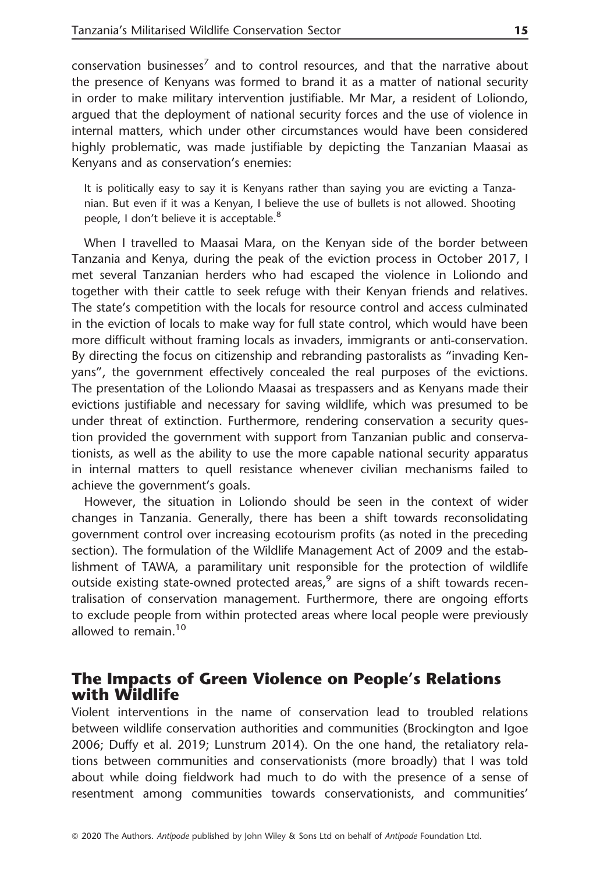conservation businesses<sup>7</sup> and to control resources, and that the narrative about the presence of Kenyans was formed to brand it as a matter of national security in order to make military intervention justifiable. Mr Mar, a resident of Loliondo, argued that the deployment of national security forces and the use of violence in internal matters, which under other circumstances would have been considered highly problematic, was made justifiable by depicting the Tanzanian Maasai as Kenyans and as conservation's enemies:

It is politically easy to say it is Kenyans rather than saying you are evicting a Tanzanian. But even if it was a Kenyan, I believe the use of bullets is not allowed. Shooting people, I don't believe it is acceptable.<sup>8</sup>

When I travelled to Maasai Mara, on the Kenyan side of the border between Tanzania and Kenya, during the peak of the eviction process in October 2017, I met several Tanzanian herders who had escaped the violence in Loliondo and together with their cattle to seek refuge with their Kenyan friends and relatives. The state's competition with the locals for resource control and access culminated in the eviction of locals to make way for full state control, which would have been more difficult without framing locals as invaders, immigrants or anti-conservation. By directing the focus on citizenship and rebranding pastoralists as "invading Kenyans", the government effectively concealed the real purposes of the evictions. The presentation of the Loliondo Maasai as trespassers and as Kenyans made their evictions justifiable and necessary for saving wildlife, which was presumed to be under threat of extinction. Furthermore, rendering conservation a security question provided the government with support from Tanzanian public and conservationists, as well as the ability to use the more capable national security apparatus in internal matters to quell resistance whenever civilian mechanisms failed to achieve the government's goals.

However, the situation in Loliondo should be seen in the context of wider changes in Tanzania. Generally, there has been a shift towards reconsolidating government control over increasing ecotourism profits (as noted in the preceding section). The formulation of the Wildlife Management Act of 2009 and the establishment of TAWA, a paramilitary unit responsible for the protection of wildlife outside existing state-owned protected areas, $9$  are signs of a shift towards recentralisation of conservation management. Furthermore, there are ongoing efforts to exclude people from within protected areas where local people were previously allowed to remain  $10$ 

### The Impacts of Green Violence on People's Relations with Wildlife

Violent interventions in the name of conservation lead to troubled relations between wildlife conservation authorities and communities (Brockington and Igoe 2006; Duffy et al. 2019; Lunstrum 2014). On the one hand, the retaliatory relations between communities and conservationists (more broadly) that I was told about while doing fieldwork had much to do with the presence of a sense of resentment among communities towards conservationists, and communities'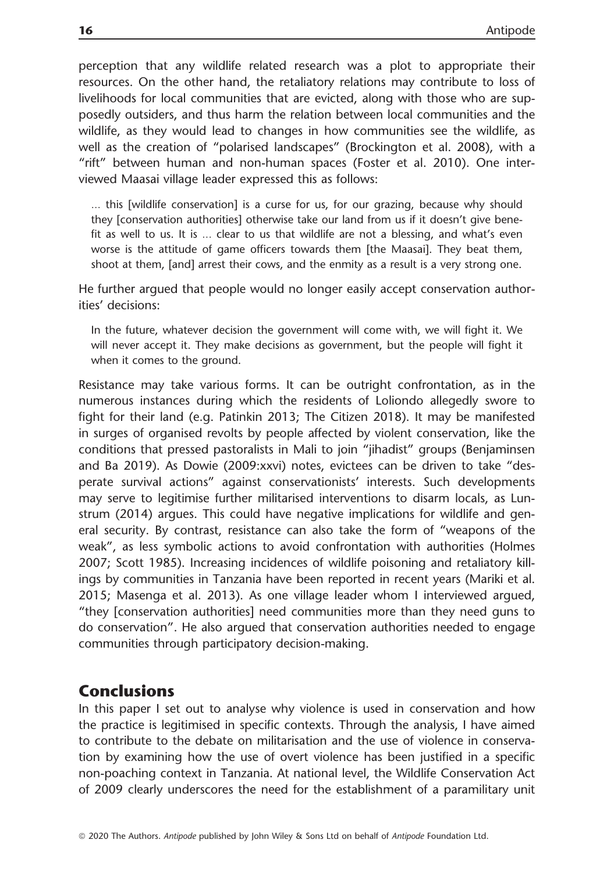perception that any wildlife related research was a plot to appropriate their resources. On the other hand, the retaliatory relations may contribute to loss of livelihoods for local communities that are evicted, along with those who are supposedly outsiders, and thus harm the relation between local communities and the wildlife, as they would lead to changes in how communities see the wildlife, as well as the creation of "polarised landscapes" (Brockington et al. 2008), with a "rift" between human and non-human spaces (Foster et al. 2010). One interviewed Maasai village leader expressed this as follows:

... this [wildlife conservation] is a curse for us, for our grazing, because why should they [conservation authorities] otherwise take our land from us if it doesn't give benefit as well to us. It is ... clear to us that wildlife are not a blessing, and what's even worse is the attitude of game officers towards them [the Maasai]. They beat them, shoot at them, [and] arrest their cows, and the enmity as a result is a very strong one.

He further argued that people would no longer easily accept conservation authorities' decisions:

In the future, whatever decision the government will come with, we will fight it. We will never accept it. They make decisions as government, but the people will fight it when it comes to the ground.

Resistance may take various forms. It can be outright confrontation, as in the numerous instances during which the residents of Loliondo allegedly swore to fight for their land (e.g. Patinkin 2013; The Citizen 2018). It may be manifested in surges of organised revolts by people affected by violent conservation, like the conditions that pressed pastoralists in Mali to join "jihadist" groups (Benjaminsen and Ba 2019). As Dowie (2009:xxvi) notes, evictees can be driven to take "desperate survival actions" against conservationists' interests. Such developments may serve to legitimise further militarised interventions to disarm locals, as Lunstrum (2014) argues. This could have negative implications for wildlife and general security. By contrast, resistance can also take the form of "weapons of the weak", as less symbolic actions to avoid confrontation with authorities (Holmes 2007; Scott 1985). Increasing incidences of wildlife poisoning and retaliatory killings by communities in Tanzania have been reported in recent years (Mariki et al. 2015; Masenga et al. 2013). As one village leader whom I interviewed argued, "they [conservation authorities] need communities more than they need guns to do conservation". He also argued that conservation authorities needed to engage communities through participatory decision-making.

#### Conclusions

In this paper I set out to analyse why violence is used in conservation and how the practice is legitimised in specific contexts. Through the analysis, I have aimed to contribute to the debate on militarisation and the use of violence in conservation by examining how the use of overt violence has been justified in a specific non-poaching context in Tanzania. At national level, the Wildlife Conservation Act of 2009 clearly underscores the need for the establishment of a paramilitary unit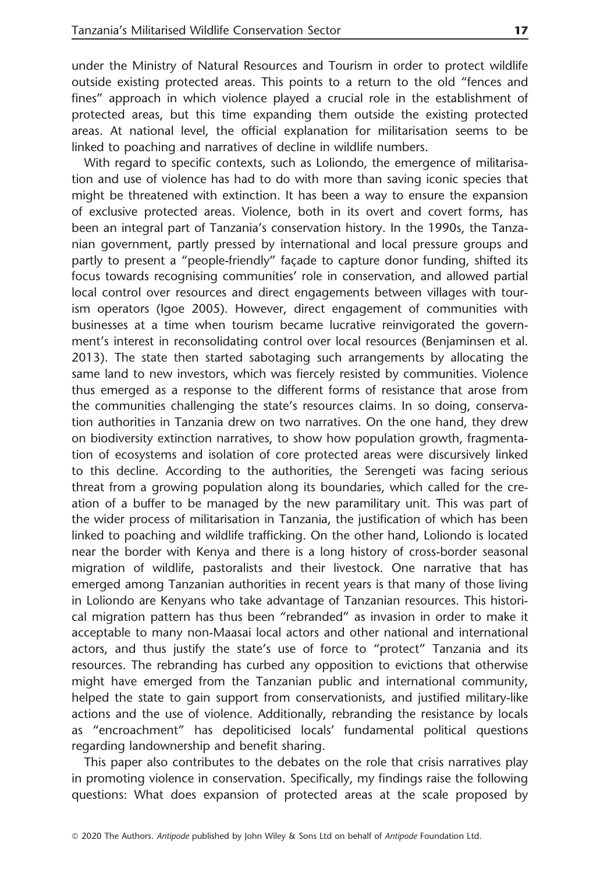under the Ministry of Natural Resources and Tourism in order to protect wildlife outside existing protected areas. This points to a return to the old "fences and fines" approach in which violence played a crucial role in the establishment of protected areas, but this time expanding them outside the existing protected areas. At national level, the official explanation for militarisation seems to be linked to poaching and narratives of decline in wildlife numbers.

With regard to specific contexts, such as Loliondo, the emergence of militarisation and use of violence has had to do with more than saving iconic species that might be threatened with extinction. It has been a way to ensure the expansion of exclusive protected areas. Violence, both in its overt and covert forms, has been an integral part of Tanzania's conservation history. In the 1990s, the Tanzanian government, partly pressed by international and local pressure groups and partly to present a "people-friendly" facade to capture donor funding, shifted its focus towards recognising communities' role in conservation, and allowed partial local control over resources and direct engagements between villages with tourism operators (Igoe 2005). However, direct engagement of communities with businesses at a time when tourism became lucrative reinvigorated the government's interest in reconsolidating control over local resources (Benjaminsen et al. 2013). The state then started sabotaging such arrangements by allocating the same land to new investors, which was fiercely resisted by communities. Violence thus emerged as a response to the different forms of resistance that arose from the communities challenging the state's resources claims. In so doing, conservation authorities in Tanzania drew on two narratives. On the one hand, they drew on biodiversity extinction narratives, to show how population growth, fragmentation of ecosystems and isolation of core protected areas were discursively linked to this decline. According to the authorities, the Serengeti was facing serious threat from a growing population along its boundaries, which called for the creation of a buffer to be managed by the new paramilitary unit. This was part of the wider process of militarisation in Tanzania, the justification of which has been linked to poaching and wildlife trafficking. On the other hand, Loliondo is located near the border with Kenya and there is a long history of cross-border seasonal migration of wildlife, pastoralists and their livestock. One narrative that has emerged among Tanzanian authorities in recent years is that many of those living in Loliondo are Kenyans who take advantage of Tanzanian resources. This historical migration pattern has thus been "rebranded" as invasion in order to make it acceptable to many non-Maasai local actors and other national and international actors, and thus justify the state's use of force to "protect" Tanzania and its resources. The rebranding has curbed any opposition to evictions that otherwise might have emerged from the Tanzanian public and international community, helped the state to gain support from conservationists, and justified military-like actions and the use of violence. Additionally, rebranding the resistance by locals as "encroachment" has depoliticised locals' fundamental political questions regarding landownership and benefit sharing.

This paper also contributes to the debates on the role that crisis narratives play in promoting violence in conservation. Specifically, my findings raise the following questions: What does expansion of protected areas at the scale proposed by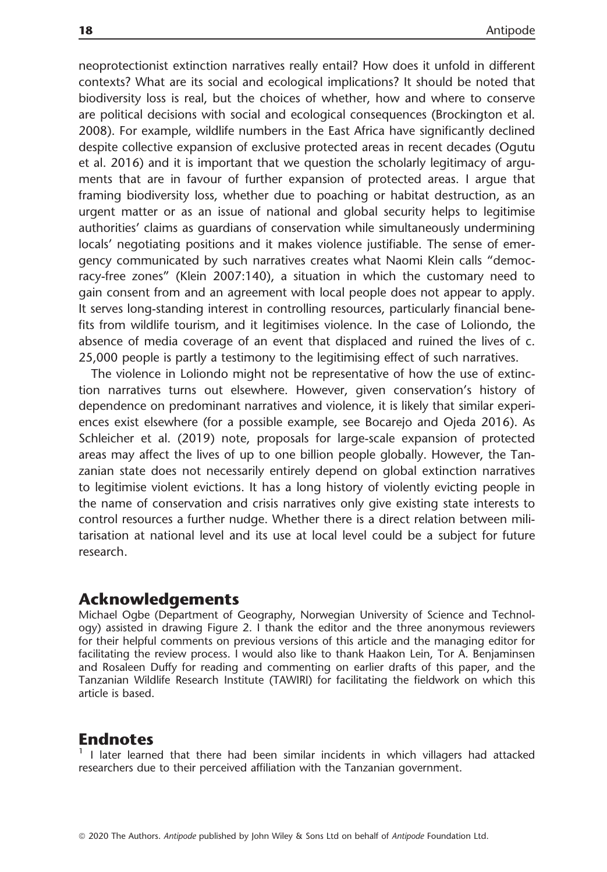neoprotectionist extinction narratives really entail? How does it unfold in different contexts? What are its social and ecological implications? It should be noted that biodiversity loss is real, but the choices of whether, how and where to conserve are political decisions with social and ecological consequences (Brockington et al. 2008). For example, wildlife numbers in the East Africa have significantly declined despite collective expansion of exclusive protected areas in recent decades (Ogutu et al. 2016) and it is important that we question the scholarly legitimacy of arguments that are in favour of further expansion of protected areas. I argue that framing biodiversity loss, whether due to poaching or habitat destruction, as an urgent matter or as an issue of national and global security helps to legitimise authorities' claims as guardians of conservation while simultaneously undermining locals' negotiating positions and it makes violence justifiable. The sense of emergency communicated by such narratives creates what Naomi Klein calls "democracy-free zones" (Klein 2007:140), a situation in which the customary need to gain consent from and an agreement with local people does not appear to apply. It serves long-standing interest in controlling resources, particularly financial benefits from wildlife tourism, and it legitimises violence. In the case of Loliondo, the absence of media coverage of an event that displaced and ruined the lives of c. 25,000 people is partly a testimony to the legitimising effect of such narratives.

The violence in Loliondo might not be representative of how the use of extinction narratives turns out elsewhere. However, given conservation's history of dependence on predominant narratives and violence, it is likely that similar experiences exist elsewhere (for a possible example, see Bocarejo and Ojeda 2016). As Schleicher et al. (2019) note, proposals for large-scale expansion of protected areas may affect the lives of up to one billion people globally. However, the Tanzanian state does not necessarily entirely depend on global extinction narratives to legitimise violent evictions. It has a long history of violently evicting people in the name of conservation and crisis narratives only give existing state interests to control resources a further nudge. Whether there is a direct relation between militarisation at national level and its use at local level could be a subject for future research.

#### Acknowledgements

Michael Ogbe (Department of Geography, Norwegian University of Science and Technology) assisted in drawing Figure 2. I thank the editor and the three anonymous reviewers for their helpful comments on previous versions of this article and the managing editor for facilitating the review process. I would also like to thank Haakon Lein, Tor A. Benjaminsen and Rosaleen Duffy for reading and commenting on earlier drafts of this paper, and the Tanzanian Wildlife Research Institute (TAWIRI) for facilitating the fieldwork on which this article is based.

#### **Endnotes**

 $1$  I later learned that there had been similar incidents in which villagers had attacked researchers due to their perceived affiliation with the Tanzanian government.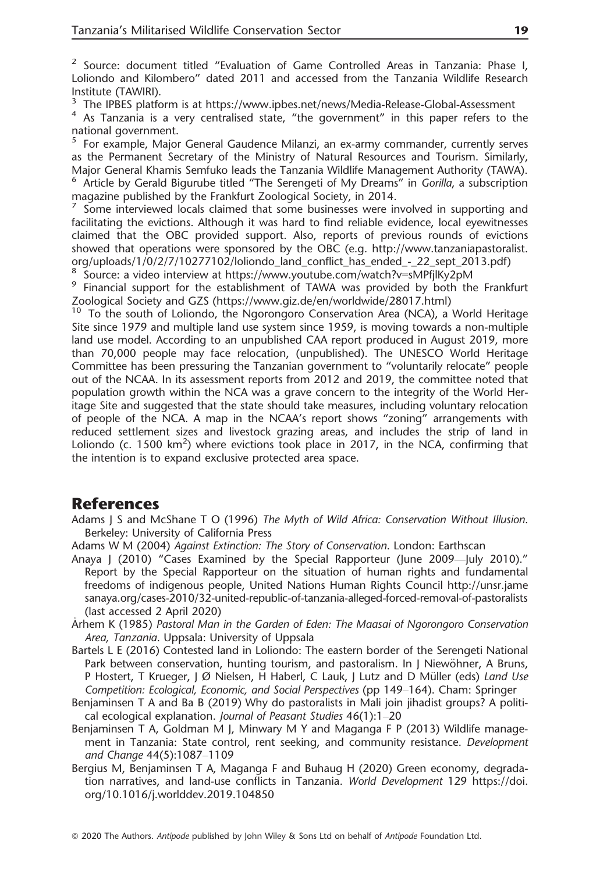<sup>2</sup> Source: document titled "Evaluation of Game Controlled Areas in Tanzania: Phase I, Loliondo and Kilombero" dated 2011 and accessed from the Tanzania Wildlife Research Institute (TAWIRI).<br><sup>3</sup> The IPBES platform is at https://www.ipbes.net/news/Media-Release-Global-Assessment

 $3$  As Tanzania is a very centralised state, "the government" in this paper refers to the national government.

<sup>5</sup> For example, Major General Gaudence Milanzi, an ex-army commander, currently serves as the Permanent Secretary of the Ministry of Natural Resources and Tourism. Similarly, Major General Khamis Semfuko leads the Tanzania Wildlife Management Authority (TAWA). <sup>6</sup> Article by Gerald Bigurube titled "The Serengeti of My Dreams" in Gorilla, a subscription

magazine published by the Frankfurt Zoological Society, in 2014.

Some interviewed locals claimed that some businesses were involved in supporting and facilitating the evictions. Although it was hard to find reliable evidence, local eyewitnesses claimed that the OBC provided support. Also, reports of previous rounds of evictions showed that operations were sponsored by the OBC (e.g. [http://www.tanzaniapastoralist.](http://www.tanzaniapastoralist.org/uploads/1/0/2/7/10277102/loliondo_land_conflict_has_ended_-_22_sept_2013.pdf://www.tanzaniapastoralist.org/uploads/1/0/2/7/10277102/loliondo_land_conflict_has_ended_-_22_sept_2013.pdf) [org/uploads/1/0/2/7/10277102/loliondo\\_land\\_conflict\\_has\\_ended\\_-\\_22\\_sept\\_2013.pdf](http://www.tanzaniapastoralist.org/uploads/1/0/2/7/10277102/loliondo_land_conflict_has_ended_-_22_sept_2013.pdf://www.tanzaniapastoralist.org/uploads/1/0/2/7/10277102/loliondo_land_conflict_has_ended_-_22_sept_2013.pdf))<br><sup>8</sup> Source: a video interview at https://www.youtube.com/watch?v=sMPfjlKy2pM

 $9$  Financial support for the establishment of TAWA was provided by both the Frankfurt Zoological Society and GZS ([https://www.giz.de/en/worldwide/28017.html](https://www.giz.de/en/worldwide/28017.html://www.giz.de/en/worldwide/28017.html))

 $10$  To the south of Loliondo, the Ngorongoro Conservation Area (NCA), a World Heritage Site since 1979 and multiple land use system since 1959, is moving towards a non-multiple land use model. According to an unpublished CAA report produced in August 2019, more than 70,000 people may face relocation, (unpublished). The UNESCO World Heritage Committee has been pressuring the Tanzanian government to "voluntarily relocate" people out of the NCAA. In its assessment reports from 2012 and 2019, the committee noted that population growth within the NCA was a grave concern to the integrity of the World Heritage Site and suggested that the state should take measures, including voluntary relocation of people of the NCA. A map in the NCAA's report shows "zoning" arrangements with reduced settlement sizes and livestock grazing areas, and includes the strip of land in Loliondo (c. 1500  $km^2$ ) where evictions took place in 2017, in the NCA, confirming that the intention is to expand exclusive protected area space.

#### References

- Adams I S and McShane T O (1996) The Myth of Wild Africa: Conservation Without Illusion. Berkeley: University of California Press
- Adams W M (2004) Against Extinction: The Story of Conservation. London: Earthscan
- Anaya J (2010) "Cases Examined by the Special Rapporteur (June 2009—July 2010)." Report by the Special Rapporteur on the situation of human rights and fundamental freedoms of indigenous people, United Nations Human Rights Council [http://unsr.jame](http://unsr.jamesanaya.org/cases-2010/32-united-republic-of-tanzania-alleged-forced-removal-of-pastoralists) [sanaya.org/cases-2010/32-united-republic-of-tanzania-alleged-forced-removal-of-pastoralists](http://unsr.jamesanaya.org/cases-2010/32-united-republic-of-tanzania-alleged-forced-removal-of-pastoralists) (last accessed 2 April 2020)<br>Arhem K (1985) Pastoral Man in the Garden of Eden: The Maasai of Ngorongoro Conservation
- Area, Tanzania. Uppsala: University of Uppsala
- Bartels L E (2016) Contested land in Loliondo: The eastern border of the Serengeti National Park between conservation, hunting tourism, and pastoralism. In J Niewöhner, A Bruns, P Hostert, T Krueger, J Ø Nielsen, H Haberl, C Lauk, J Lutz and D Müller (eds) Land Use Competition: Ecological, Economic, and Social Perspectives (pp 149–164). Cham: Springer
- Benjaminsen T A and Ba B (2019) Why do pastoralists in Mali join jihadist groups? A political ecological explanation. Journal of Peasant Studies 46(1):1–20
- Benjaminsen T A, Goldman M J, Minwary M Y and Maganga F P (2013) Wildlife management in Tanzania: State control, rent seeking, and community resistance. Development and Change 44(5):1087–1109
- Bergius M, Benjaminsen T A, Maganga F and Buhaug H (2020) Green economy, degradation narratives, and land-use conflicts in Tanzania. World Development 129 [https://doi.](https://doi.org/10.1016/j.worlddev.2019.104850) [org/10.1016/j.worlddev.2019.104850](https://doi.org/10.1016/j.worlddev.2019.104850)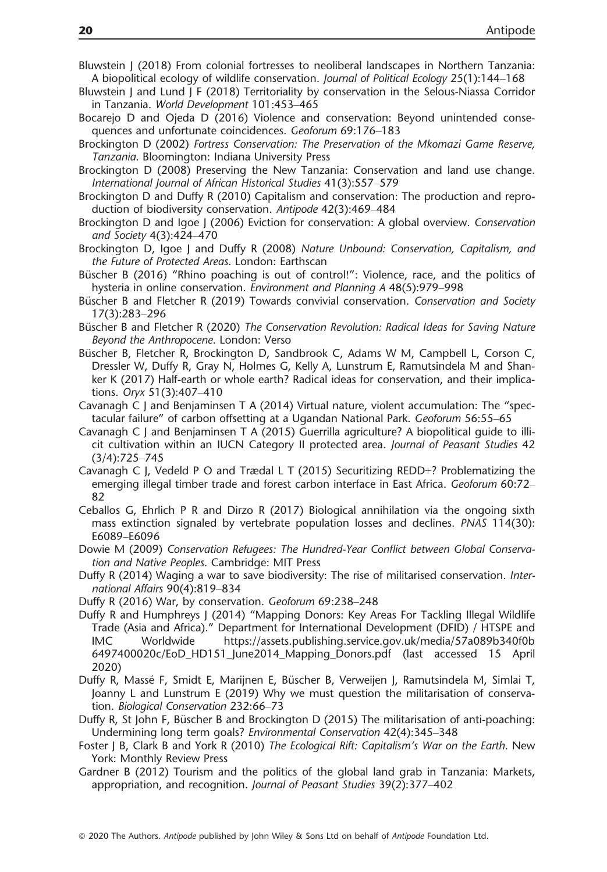- Bluwstein J (2018) From colonial fortresses to neoliberal landscapes in Northern Tanzania: A biopolitical ecology of wildlife conservation. Journal of Political Ecology 25(1):144–168
- Bluwstein J and Lund J F (2018) Territoriality by conservation in the Selous-Niassa Corridor in Tanzania. World Development 101:453–465
- Bocarejo D and Ojeda D (2016) Violence and conservation: Beyond unintended consequences and unfortunate coincidences. Geoforum 69:176–183
- Brockington D (2002) Fortress Conservation: The Preservation of the Mkomazi Game Reserve, Tanzania. Bloomington: Indiana University Press
- Brockington D (2008) Preserving the New Tanzania: Conservation and land use change. International Journal of African Historical Studies 41(3):557–579
- Brockington D and Duffy R (2010) Capitalism and conservation: The production and reproduction of biodiversity conservation. Antipode 42(3):469–484
- Brockington D and Igoe J (2006) Eviction for conservation: A global overview. Conservation and Society 4(3):424–470
- Brockington D, Igoe J and Duffy R (2008) Nature Unbound: Conservation, Capitalism, and the Future of Protected Areas. London: Earthscan
- Büscher B (2016) "Rhino poaching is out of control!": Violence, race, and the politics of hysteria in online conservation. Environment and Planning A 48(5):979–998
- Büscher B and Fletcher R (2019) Towards convivial conservation. Conservation and Society 17(3):283–296
- Büscher B and Fletcher R (2020) The Conservation Revolution: Radical Ideas for Saving Nature Beyond the Anthropocene. London: Verso
- Büscher B, Fletcher R, Brockington D, Sandbrook C, Adams W M, Campbell L, Corson C, Dressler W, Duffy R, Gray N, Holmes G, Kelly A, Lunstrum E, Ramutsindela M and Shanker K (2017) Half-earth or whole earth? Radical ideas for conservation, and their implications. Oryx 51(3):407–410
- Cavanagh C J and Benjaminsen T A (2014) Virtual nature, violent accumulation: The "spectacular failure" of carbon offsetting at a Ugandan National Park. Geoforum 56:55–65
- Cavanagh C J and Benjaminsen T A (2015) Guerrilla agriculture? A biopolitical guide to illicit cultivation within an IUCN Category II protected area. Journal of Peasant Studies 42 (3/4):725–745
- Cavanagh C J, Vedeld P O and Trædal L T (2015) Securitizing REDD+? Problematizing the emerging illegal timber trade and forest carbon interface in East Africa. Geoforum 60:72– 82
- Ceballos G, Ehrlich P R and Dirzo R (2017) Biological annihilation via the ongoing sixth mass extinction signaled by vertebrate population losses and declines. PNAS 114(30): E6089–E6096
- Dowie M (2009) Conservation Refugees: The Hundred-Year Conflict between Global Conservation and Native Peoples. Cambridge: MIT Press
- Duffy R (2014) Waging a war to save biodiversity: The rise of militarised conservation. International Affairs 90(4):819–834
- Duffy R (2016) War, by conservation. Geoforum 69:238–248
- Duffy R and Humphreys J (2014) "Mapping Donors: Key Areas For Tackling Illegal Wildlife Trade (Asia and Africa)." Department for International Development (DFID) / HTSPE and IMC Worldwide [https://assets.publishing.service.gov.uk/media/57a089b340f0b](https://assets.publishing.service.gov.uk/media/57a089b340f0b6497400020c/EoD_HD151_June2014_Mapping_Donors.pdf) [6497400020c/EoD\\_HD151\\_June2014\\_Mapping\\_Donors.pdf](https://assets.publishing.service.gov.uk/media/57a089b340f0b6497400020c/EoD_HD151_June2014_Mapping_Donors.pdf) (last accessed 15 April 2020)
- Duffy R, Massé F, Smidt E, Marijnen E, Büscher B, Verweijen J, Ramutsindela M, Simlai T, Joanny L and Lunstrum E (2019) Why we must question the militarisation of conservation. Biological Conservation 232:66–73
- Duffy R, St John F, Büscher B and Brockington D (2015) The militarisation of anti-poaching: Undermining long term goals? Environmental Conservation 42(4):345–348
- Foster | B, Clark B and York R (2010) The Ecological Rift: Capitalism's War on the Earth. New York: Monthly Review Press
- Gardner B (2012) Tourism and the politics of the global land grab in Tanzania: Markets, appropriation, and recognition. Journal of Peasant Studies 39(2):377–402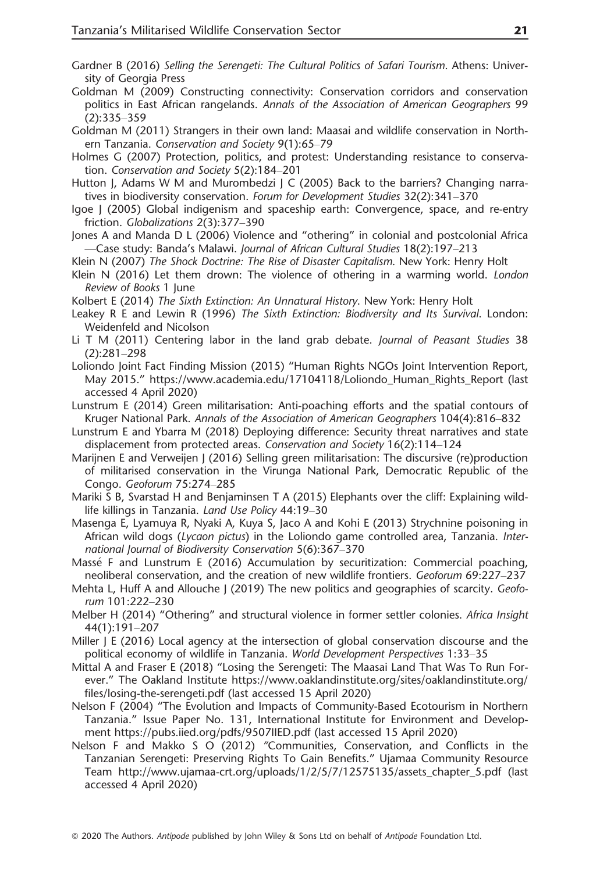- Gardner B (2016) Selling the Serengeti: The Cultural Politics of Safari Tourism. Athens: University of Georgia Press
- Goldman M (2009) Constructing connectivity: Conservation corridors and conservation politics in East African rangelands. Annals of the Association of American Geographers 99 (2):335–359

Goldman M (2011) Strangers in their own land: Maasai and wildlife conservation in Northern Tanzania. Conservation and Society 9(1):65–79

Holmes G (2007) Protection, politics, and protest: Understanding resistance to conservation. Conservation and Society 5(2):184–201

- Hutton J, Adams W M and Murombedzi J C (2005) Back to the barriers? Changing narratives in biodiversity conservation. Forum for Development Studies 32(2):341–370
- Igoe J (2005) Global indigenism and spaceship earth: Convergence, space, and re-entry friction. Globalizations 2(3):377–390

Jones A and Manda D L (2006) Violence and "othering" in colonial and postcolonial Africa —Case study: Banda's Malawi. Journal of African Cultural Studies 18(2):197–213

Klein N (2007) The Shock Doctrine: The Rise of Disaster Capitalism. New York: Henry Holt

Klein N (2016) Let them drown: The violence of othering in a warming world. London Review of Books 1 June

Kolbert E (2014) The Sixth Extinction: An Unnatural History. New York: Henry Holt

- Leakey R E and Lewin R (1996) The Sixth Extinction: Biodiversity and Its Survival. London: Weidenfeld and Nicolson
- Li T M (2011) Centering labor in the land grab debate. Journal of Peasant Studies 38 (2):281–298
- Loliondo Joint Fact Finding Mission (2015) "Human Rights NGOs Joint Intervention Report, May 2015." [https://www.academia.edu/17104118/Loliondo\\_Human\\_Rights\\_Report](https://www.academia.edu/17104118/Loliondo_Human_Rights_Report) (last accessed 4 April 2020)
- Lunstrum E (2014) Green militarisation: Anti-poaching efforts and the spatial contours of Kruger National Park. Annals of the Association of American Geographers 104(4):816–832
- Lunstrum E and Ybarra M (2018) Deploying difference: Security threat narratives and state displacement from protected areas. Conservation and Society 16(2):114–124
- Marijnen E and Verweijen J (2016) Selling green militarisation: The discursive (re)production of militarised conservation in the Virunga National Park, Democratic Republic of the Congo. Geoforum 75:274–285
- Mariki S B, Svarstad H and Benjaminsen T A (2015) Elephants over the cliff: Explaining wildlife killings in Tanzania. Land Use Policy 44:19–30
- Masenga E, Lyamuya R, Nyaki A, Kuya S, Jaco A and Kohi E (2013) Strychnine poisoning in African wild dogs (Lycaon pictus) in the Loliondo game controlled area, Tanzania. International Journal of Biodiversity Conservation 5(6):367–370
- Massé F and Lunstrum E (2016) Accumulation by securitization: Commercial poaching, neoliberal conservation, and the creation of new wildlife frontiers. Geoforum 69:227–237
- Mehta L, Huff A and Allouche J (2019) The new politics and geographies of scarcity. Geoforum 101:222–230
- Melber H (2014) "Othering" and structural violence in former settler colonies. Africa Insight 44(1):191–207
- Miller J E (2016) Local agency at the intersection of global conservation discourse and the political economy of wildlife in Tanzania. World Development Perspectives 1:33–35
- Mittal A and Fraser E (2018) "Losing the Serengeti: The Maasai Land That Was To Run Forever." The Oakland Institute [https://www.oaklandinstitute.org/sites/oaklandinstitute.org/](https://www.oaklandinstitute.org/sites/oaklandinstitute.org/files/losing-the-serengeti.pdf) fi[les/losing-the-serengeti.pdf](https://www.oaklandinstitute.org/sites/oaklandinstitute.org/files/losing-the-serengeti.pdf) (last accessed 15 April 2020)
- Nelson F (2004) "The Evolution and Impacts of Community-Based Ecotourism in Northern Tanzania." Issue Paper No. 131, International Institute for Environment and Development<https://pubs.iied.org/pdfs/9507IIED.pdf> (last accessed 15 April 2020)
- Nelson F and Makko S O (2012) "Communities, Conservation, and Conflicts in the Tanzanian Serengeti: Preserving Rights To Gain Benefits." Ujamaa Community Resource Team [http://www.ujamaa-crt.org/uploads/1/2/5/7/12575135/assets\\_chapter\\_5.pdf](http://www.ujamaa-crt.org/uploads/1/2/5/7/12575135/assets_chapter_5.pdf) (last accessed 4 April 2020)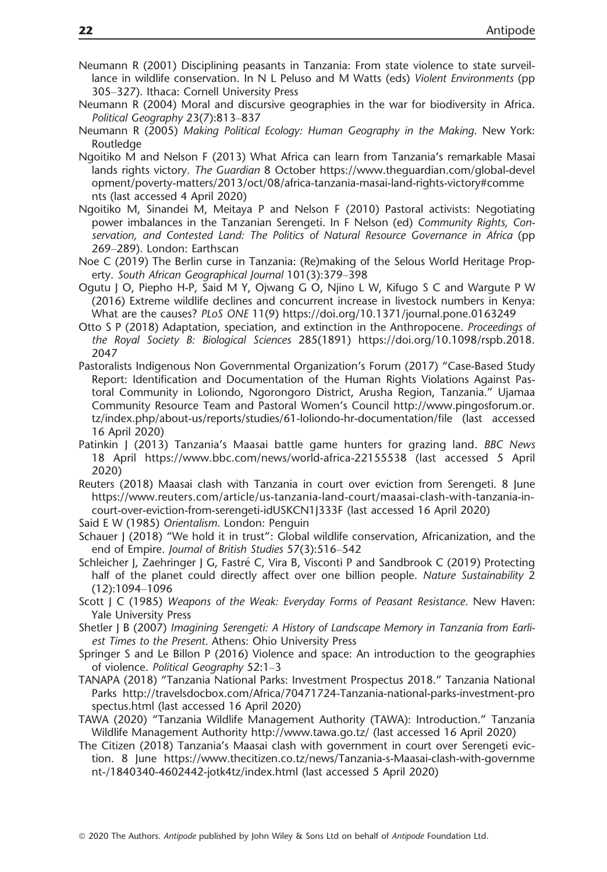- Neumann R (2001) Disciplining peasants in Tanzania: From state violence to state surveillance in wildlife conservation. In N L Peluso and M Watts (eds) Violent Environments (pp 305–327). Ithaca: Cornell University Press
- Neumann R (2004) Moral and discursive geographies in the war for biodiversity in Africa. Political Geography 23(7):813–837
- Neumann R (2005) Making Political Ecology: Human Geography in the Making. New York: Routledge
- Ngoitiko M and Nelson F (2013) What Africa can learn from Tanzania's remarkable Masai lands rights victory. The Guardian 8 October [https://www.theguardian.com/global-devel](https://www.theguardian.com/global-development/poverty-matters/2013/oct/08/africa-tanzania-masai-land-rights-victory#comments) [opment/poverty-matters/2013/oct/08/africa-tanzania-masai-land-rights-victory#comme](https://www.theguardian.com/global-development/poverty-matters/2013/oct/08/africa-tanzania-masai-land-rights-victory#comments) [nts](https://www.theguardian.com/global-development/poverty-matters/2013/oct/08/africa-tanzania-masai-land-rights-victory#comments) (last accessed 4 April 2020)
- Ngoitiko M, Sinandei M, Meitaya P and Nelson F (2010) Pastoral activists: Negotiating power imbalances in the Tanzanian Serengeti. In F Nelson (ed) Community Rights, Conservation, and Contested Land: The Politics of Natural Resource Governance in Africa (pp 269–289). London: Earthscan
- Noe C (2019) The Berlin curse in Tanzania: (Re)making of the Selous World Heritage Property. South African Geographical Journal 101(3):379–398
- Ogutu J O, Piepho H-P, Said M Y, Ojwang G O, Njino L W, Kifugo S C and Wargute P W (2016) Extreme wildlife declines and concurrent increase in livestock numbers in Kenya: What are the causes? PLoS ONE 11(9)<https://doi.org/10.1371/journal.pone.0163249>
- Otto S P (2018) Adaptation, speciation, and extinction in the Anthropocene. Proceedings of the Royal Society B: Biological Sciences 285(1891) [https://doi.org/10.1098/rspb.2018.](https://doi.org/10.1098/rspb.2018.2047) [2047](https://doi.org/10.1098/rspb.2018.2047)
- Pastoralists Indigenous Non Governmental Organization's Forum (2017) "Case-Based Study Report: Identification and Documentation of the Human Rights Violations Against Pastoral Community in Loliondo, Ngorongoro District, Arusha Region, Tanzania." Ujamaa Community Resource Team and Pastoral Women's Council [http://www.pingosforum.or.](http://www.pingosforum.or.tz/index.php/about-us/reports/studies/61-loliondo-hr-documentation/file) [tz/index.php/about-us/reports/studies/61-loliondo-hr-documentation/](http://www.pingosforum.or.tz/index.php/about-us/reports/studies/61-loliondo-hr-documentation/file)file (last accessed 16 April 2020)
- Patinkin J (2013) Tanzania's Maasai battle game hunters for grazing land. BBC News 18 April<https://www.bbc.com/news/world-africa-22155538> (last accessed 5 April 2020)
- Reuters (2018) Maasai clash with Tanzania in court over eviction from Serengeti. 8 June [https://www.reuters.com/article/us-tanzania-land-court/maasai-clash-with-tanzania-in](https://www.reuters.com/article/us-tanzania-land-court/maasai-clash-with-tanzania-in-court-over-eviction-from-serengeti-idUSKCN1J333F)[court-over-eviction-from-serengeti-idUSKCN1J333F](https://www.reuters.com/article/us-tanzania-land-court/maasai-clash-with-tanzania-in-court-over-eviction-from-serengeti-idUSKCN1J333F) (last accessed 16 April 2020)
- Said E W (1985) Orientalism. London: Penguin
- Schauer J (2018) "We hold it in trust": Global wildlife conservation, Africanization, and the end of Empire. Journal of British Studies 57(3):516–542
- Schleicher J, Zaehringer J G, Fastré C, Vira B, Visconti P and Sandbrook C (2019) Protecting half of the planet could directly affect over one billion people. Nature Sustainability 2 (12):1094–1096
- Scott J C (1985) Weapons of the Weak: Everyday Forms of Peasant Resistance. New Haven: Yale University Press
- Shetler J B (2007) Imagining Serengeti: A History of Landscape Memory in Tanzania from Earliest Times to the Present. Athens: Ohio University Press
- Springer S and Le Billon P (2016) Violence and space: An introduction to the geographies of violence. Political Geography 52:1–3
- TANAPA (2018) "Tanzania National Parks: Investment Prospectus 2018." Tanzania National Parks [http://travelsdocbox.com/Africa/70471724-Tanzania-national-parks-investment-pro](http://travelsdocbox.com/Africa/70471724-Tanzania-national-parks-investment-prospectus.html) [spectus.html](http://travelsdocbox.com/Africa/70471724-Tanzania-national-parks-investment-prospectus.html) (last accessed 16 April 2020)
- TAWA (2020) "Tanzania Wildlife Management Authority (TAWA): Introduction." Tanzania Wildlife Management Authority<http://www.tawa.go.tz/> (last accessed 16 April 2020)
- The Citizen (2018) Tanzania's Maasai clash with government in court over Serengeti eviction. 8 June [https://www.thecitizen.co.tz/news/Tanzania-s-Maasai-clash-with-governme](https://www.thecitizen.co.tz/news/Tanzania-s-Maasai-clash-with-government-/1840340-4602442-jotk4tz/index.html) [nt-/1840340-4602442-jotk4tz/index.html](https://www.thecitizen.co.tz/news/Tanzania-s-Maasai-clash-with-government-/1840340-4602442-jotk4tz/index.html) (last accessed 5 April 2020)